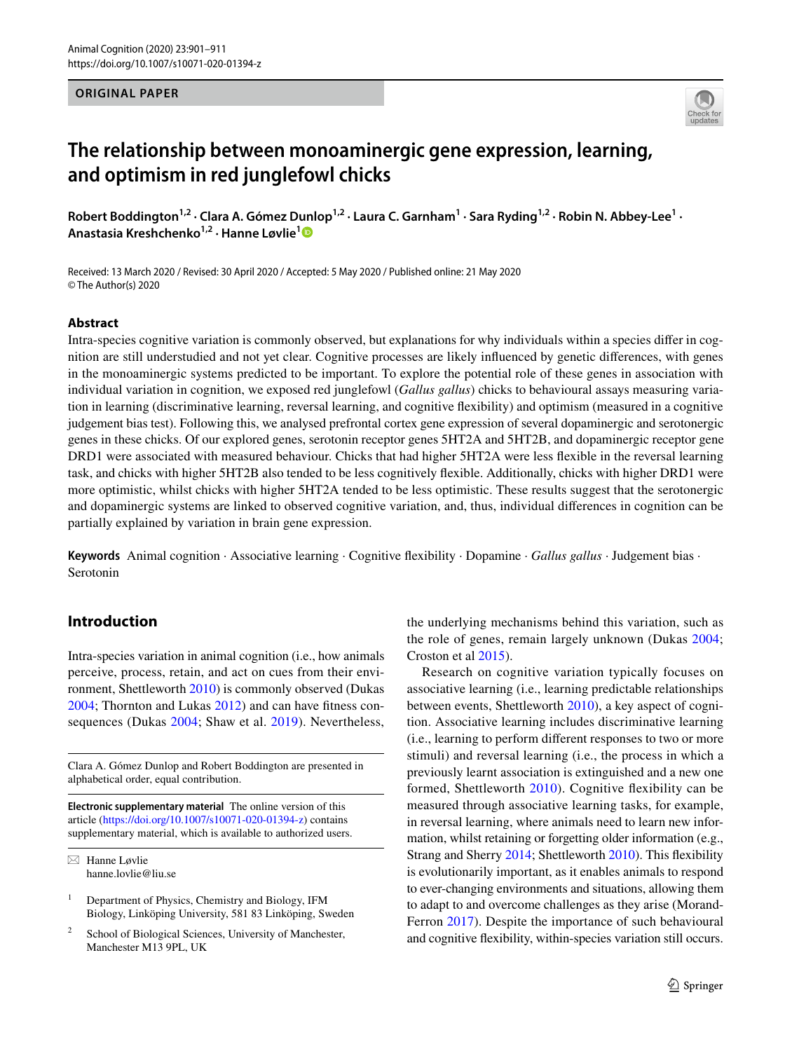### **ORIGINAL PAPER**



# **The relationship between monoaminergic gene expression, learning, and optimism in red junglefowl chicks**

Robert Boddington<sup>1,2</sup> · Clara A. Gómez Dunlop<sup>1,2</sup> · Laura C. Garnham<sup>1</sup> · Sara Ryding<sup>1,2</sup> · Robin N. Abbey-Lee<sup>1</sup> · **Anastasia Kreshchenko1,2 · Hanne Løvlie[1](http://orcid.org/0000-0003-4352-6275)**

Received: 13 March 2020 / Revised: 30 April 2020 / Accepted: 5 May 2020 / Published online: 21 May 2020 © The Author(s) 2020

# **Abstract**

Intra-species cognitive variation is commonly observed, but explanations for why individuals within a species difer in cognition are still understudied and not yet clear. Cognitive processes are likely infuenced by genetic diferences, with genes in the monoaminergic systems predicted to be important. To explore the potential role of these genes in association with individual variation in cognition, we exposed red junglefowl (*Gallus gallus*) chicks to behavioural assays measuring variation in learning (discriminative learning, reversal learning, and cognitive fexibility) and optimism (measured in a cognitive judgement bias test). Following this, we analysed prefrontal cortex gene expression of several dopaminergic and serotonergic genes in these chicks. Of our explored genes, serotonin receptor genes 5HT2A and 5HT2B, and dopaminergic receptor gene DRD1 were associated with measured behaviour. Chicks that had higher 5HT2A were less fexible in the reversal learning task, and chicks with higher 5HT2B also tended to be less cognitively fexible. Additionally, chicks with higher DRD1 were more optimistic, whilst chicks with higher 5HT2A tended to be less optimistic. These results suggest that the serotonergic and dopaminergic systems are linked to observed cognitive variation, and, thus, individual diferences in cognition can be partially explained by variation in brain gene expression.

**Keywords** Animal cognition · Associative learning · Cognitive fexibility · Dopamine · *Gallus gallus* · Judgement bias · Serotonin

# **Introduction**

Intra-species variation in animal cognition (i.e., how animals perceive, process, retain, and act on cues from their environment, Shettleworth [2010](#page-9-0)) is commonly observed (Dukas [2004](#page-8-0); Thornton and Lukas [2012\)](#page-10-0) and can have ftness consequences (Dukas [2004;](#page-8-0) Shaw et al. [2019](#page-9-1)). Nevertheless,

Clara A. Gómez Dunlop and Robert Boddington are presented in alphabetical order, equal contribution.

**Electronic supplementary material** The online version of this article [\(https://doi.org/10.1007/s10071-020-01394-z](https://doi.org/10.1007/s10071-020-01394-z)) contains supplementary material, which is available to authorized users.

 $\boxtimes$  Hanne Løvlie hanne.lovlie@liu.se

<sup>1</sup> Department of Physics, Chemistry and Biology, IFM Biology, Linköping University, 581 83 Linköping, Sweden

School of Biological Sciences, University of Manchester, Manchester M13 9PL, UK

the underlying mechanisms behind this variation, such as the role of genes, remain largely unknown (Dukas [2004](#page-8-0); Croston et al [2015](#page-8-1)).

Research on cognitive variation typically focuses on associative learning (i.e., learning predictable relationships between events, Shettleworth [2010](#page-9-0)), a key aspect of cognition. Associative learning includes discriminative learning (i.e., learning to perform diferent responses to two or more stimuli) and reversal learning (i.e., the process in which a previously learnt association is extinguished and a new one formed, Shettleworth [2010](#page-9-0)). Cognitive fexibility can be measured through associative learning tasks, for example, in reversal learning, where animals need to learn new information, whilst retaining or forgetting older information (e.g., Strang and Sherry [2014;](#page-10-1) Shettleworth [2010\)](#page-9-0). This fexibility is evolutionarily important, as it enables animals to respond to ever-changing environments and situations, allowing them to adapt to and overcome challenges as they arise (Morand-Ferron [2017\)](#page-9-2). Despite the importance of such behavioural and cognitive fexibility, within-species variation still occurs.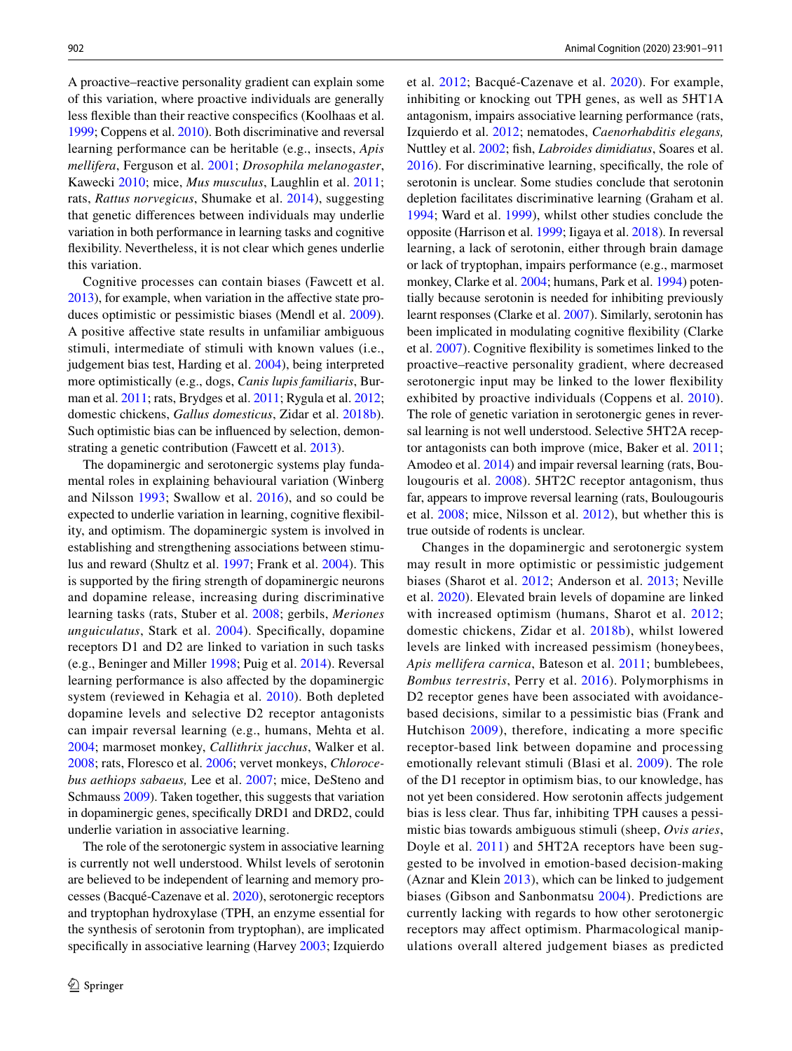A proactive–reactive personality gradient can explain some of this variation, where proactive individuals are generally less fexible than their reactive conspecifcs (Koolhaas et al. [1999;](#page-9-3) Coppens et al. [2010\)](#page-8-2). Both discriminative and reversal learning performance can be heritable (e.g., insects, *Apis mellifera*, Ferguson et al. [2001;](#page-8-3) *Drosophila melanogaster*, Kawecki [2010](#page-9-4); mice, *Mus musculus*, Laughlin et al. [2011](#page-9-5); rats, *Rattus norvegicus*, Shumake et al. [2014](#page-10-2)), suggesting that genetic diferences between individuals may underlie variation in both performance in learning tasks and cognitive fexibility. Nevertheless, it is not clear which genes underlie this variation.

Cognitive processes can contain biases (Fawcett et al. [2013\)](#page-8-4), for example, when variation in the affective state produces optimistic or pessimistic biases (Mendl et al. [2009](#page-9-6)). A positive afective state results in unfamiliar ambiguous stimuli, intermediate of stimuli with known values (i.e., judgement bias test, Harding et al. [2004\)](#page-9-7), being interpreted more optimistically (e.g., dogs, *Canis lupis familiaris*, Burman et al. [2011;](#page-8-5) rats, Brydges et al. [2011;](#page-8-6) Rygula et al. [2012](#page-9-8); domestic chickens, *Gallus domesticus*, Zidar et al. [2018b](#page-10-3)). Such optimistic bias can be infuenced by selection, demonstrating a genetic contribution (Fawcett et al. [2013](#page-8-4)).

The dopaminergic and serotonergic systems play fundamental roles in explaining behavioural variation (Winberg and Nilsson [1993;](#page-10-4) Swallow et al. [2016\)](#page-10-5), and so could be expected to underlie variation in learning, cognitive fexibility, and optimism. The dopaminergic system is involved in establishing and strengthening associations between stimulus and reward (Shultz et al. [1997;](#page-9-9) Frank et al. [2004\)](#page-8-7). This is supported by the fring strength of dopaminergic neurons and dopamine release, increasing during discriminative learning tasks (rats, Stuber et al. [2008](#page-10-6); gerbils, *Meriones unguiculatus*, Stark et al. [2004](#page-10-7)). Specifcally, dopamine receptors D1 and D2 are linked to variation in such tasks (e.g., Beninger and Miller [1998;](#page-8-8) Puig et al. [2014](#page-9-10)). Reversal learning performance is also afected by the dopaminergic system (reviewed in Kehagia et al. [2010](#page-9-11)). Both depleted dopamine levels and selective D2 receptor antagonists can impair reversal learning (e.g., humans, Mehta et al. [2004](#page-9-12); marmoset monkey, *Callithrix jacchus*, Walker et al. [2008](#page-10-8); rats, Floresco et al. [2006](#page-8-9); vervet monkeys, *Chlorocebus aethiops sabaeus,* Lee et al. [2007;](#page-9-13) mice, DeSteno and Schmauss [2009\)](#page-8-10). Taken together, this suggests that variation in dopaminergic genes, specifcally DRD1 and DRD2, could underlie variation in associative learning.

The role of the serotonergic system in associative learning is currently not well understood. Whilst levels of serotonin are believed to be independent of learning and memory processes (Bacqué-Cazenave et al. [2020\)](#page-8-11), serotonergic receptors and tryptophan hydroxylase (TPH, an enzyme essential for the synthesis of serotonin from tryptophan), are implicated specifically in associative learning (Harvey [2003;](#page-9-14) Izquierdo et al. [2012](#page-9-15); Bacqué-Cazenave et al. [2020\)](#page-8-11). For example, inhibiting or knocking out TPH genes, as well as 5HT1A antagonism, impairs associative learning performance (rats, Izquierdo et al. [2012;](#page-9-15) nematodes, *Caenorhabditis elegans,* Nuttley et al. [2002](#page-9-16); fsh, *Labroides dimidiatus*, Soares et al. [2016](#page-10-9)). For discriminative learning, specifcally, the role of serotonin is unclear. Some studies conclude that serotonin depletion facilitates discriminative learning (Graham et al. [1994;](#page-9-17) Ward et al. [1999](#page-10-10)), whilst other studies conclude the opposite (Harrison et al. [1999](#page-9-18); Iigaya et al. [2018](#page-9-19)). In reversal learning, a lack of serotonin, either through brain damage or lack of tryptophan, impairs performance (e.g., marmoset monkey, Clarke et al. [2004;](#page-8-12) humans, Park et al. [1994](#page-9-20)) potentially because serotonin is needed for inhibiting previously learnt responses (Clarke et al. [2007\)](#page-8-13). Similarly, serotonin has been implicated in modulating cognitive fexibility (Clarke et al. [2007](#page-8-13)). Cognitive fexibility is sometimes linked to the proactive–reactive personality gradient, where decreased serotonergic input may be linked to the lower fexibility exhibited by proactive individuals (Coppens et al. [2010](#page-8-2)). The role of genetic variation in serotonergic genes in reversal learning is not well understood. Selective 5HT2A receptor antagonists can both improve (mice, Baker et al. [2011](#page-8-14); Amodeo et al. [2014\)](#page-8-15) and impair reversal learning (rats, Boulougouris et al. [2008](#page-8-16)). 5HT2C receptor antagonism, thus far, appears to improve reversal learning (rats, Boulougouris et al. [2008;](#page-8-16) mice, Nilsson et al. [2012\)](#page-9-21), but whether this is true outside of rodents is unclear.

Changes in the dopaminergic and serotonergic system may result in more optimistic or pessimistic judgement biases (Sharot et al. [2012](#page-9-22); Anderson et al. [2013;](#page-8-17) Neville et al. [2020\)](#page-9-23). Elevated brain levels of dopamine are linked with increased optimism (humans, Sharot et al. [2012](#page-9-22); domestic chickens, Zidar et al. [2018b\)](#page-10-3), whilst lowered levels are linked with increased pessimism (honeybees, *Apis mellifera carnica*, Bateson et al. [2011](#page-8-18); bumblebees, *Bombus terrestris*, Perry et al. [2016](#page-9-24)). Polymorphisms in D2 receptor genes have been associated with avoidancebased decisions, similar to a pessimistic bias (Frank and Hutchison [2009](#page-8-19)), therefore, indicating a more specifc receptor-based link between dopamine and processing emotionally relevant stimuli (Blasi et al. [2009\)](#page-8-20). The role of the D1 receptor in optimism bias, to our knowledge, has not yet been considered. How serotonin afects judgement bias is less clear. Thus far, inhibiting TPH causes a pessimistic bias towards ambiguous stimuli (sheep, *Ovis aries*, Doyle et al. [2011\)](#page-8-21) and 5HT2A receptors have been suggested to be involved in emotion-based decision-making (Aznar and Klein [2013](#page-8-22)), which can be linked to judgement biases (Gibson and Sanbonmatsu [2004](#page-9-25)). Predictions are currently lacking with regards to how other serotonergic receptors may afect optimism. Pharmacological manipulations overall altered judgement biases as predicted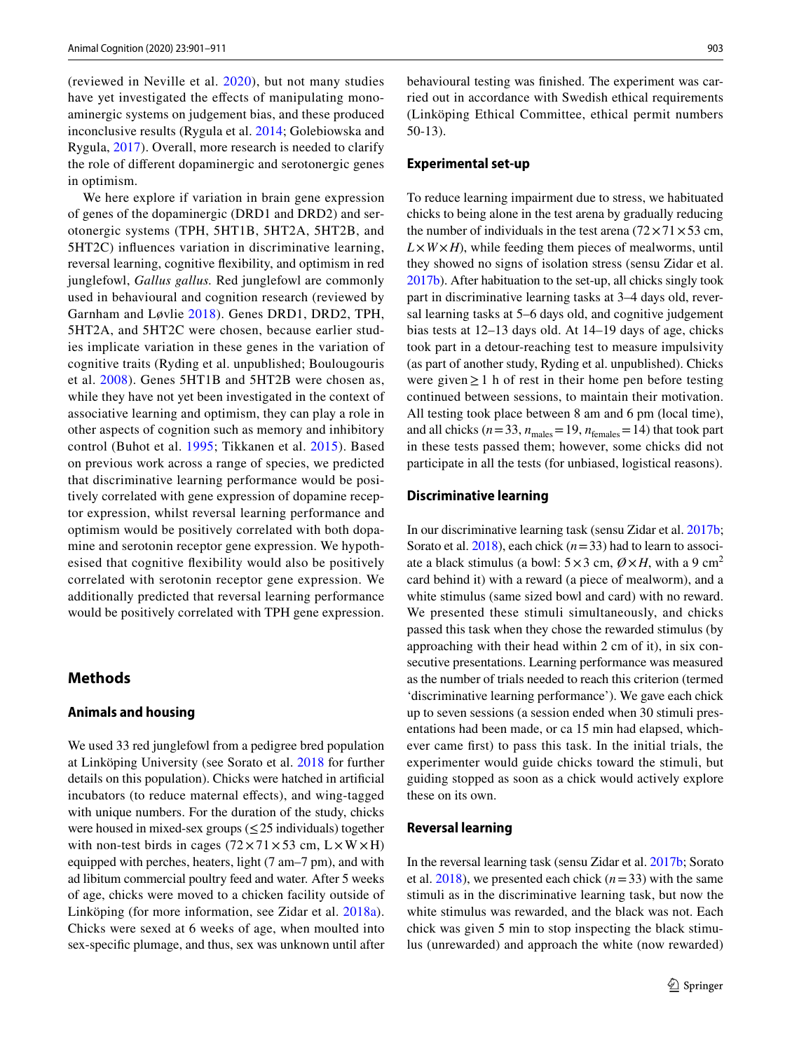(reviewed in Neville et al. [2020](#page-9-23)), but not many studies have yet investigated the effects of manipulating monoaminergic systems on judgement bias, and these produced inconclusive results (Rygula et al. [2014;](#page-9-26) Golebiowska and Rygula, [2017\)](#page-9-27). Overall, more research is needed to clarify the role of diferent dopaminergic and serotonergic genes in optimism.

We here explore if variation in brain gene expression of genes of the dopaminergic (DRD1 and DRD2) and serotonergic systems (TPH, 5HT1B, 5HT2A, 5HT2B, and 5HT2C) infuences variation in discriminative learning, reversal learning, cognitive fexibility, and optimism in red junglefowl, *Gallus gallus.* Red junglefowl are commonly used in behavioural and cognition research (reviewed by Garnham and Løvlie [2018\)](#page-8-23). Genes DRD1, DRD2, TPH, 5HT2A, and 5HT2C were chosen, because earlier studies implicate variation in these genes in the variation of cognitive traits (Ryding et al. unpublished; Boulougouris et al. [2008](#page-8-16)). Genes 5HT1B and 5HT2B were chosen as, while they have not yet been investigated in the context of associative learning and optimism, they can play a role in other aspects of cognition such as memory and inhibitory control (Buhot et al. [1995](#page-8-24); Tikkanen et al. [2015](#page-10-11)). Based on previous work across a range of species, we predicted that discriminative learning performance would be positively correlated with gene expression of dopamine receptor expression, whilst reversal learning performance and optimism would be positively correlated with both dopamine and serotonin receptor gene expression. We hypothesised that cognitive fexibility would also be positively correlated with serotonin receptor gene expression. We additionally predicted that reversal learning performance would be positively correlated with TPH gene expression.

# **Methods**

# **Animals and housing**

We used 33 red junglefowl from a pedigree bred population at Linköping University (see Sorato et al. [2018](#page-10-12) for further details on this population). Chicks were hatched in artifcial incubators (to reduce maternal efects), and wing-tagged with unique numbers. For the duration of the study, chicks were housed in mixed-sex groups ( $\leq$  25 individuals) together with non-test birds in cages  $(72 \times 71 \times 53 \text{ cm}, L \times W \times H)$ equipped with perches, heaters, light (7 am–7 pm), and with ad libitum commercial poultry feed and water*.* After 5 weeks of age, chicks were moved to a chicken facility outside of Linköping (for more information, see Zidar et al. [2018a](#page-10-13)). Chicks were sexed at 6 weeks of age, when moulted into sex-specifc plumage, and thus, sex was unknown until after behavioural testing was fnished. The experiment was carried out in accordance with Swedish ethical requirements (Linköping Ethical Committee, ethical permit numbers 50-13).

#### **Experimental set‑up**

To reduce learning impairment due to stress, we habituated chicks to being alone in the test arena by gradually reducing the number of individuals in the test arena  $(72 \times 71 \times 53 \text{ cm},$  $L \times W \times H$ , while feeding them pieces of mealworms, until they showed no signs of isolation stress (sensu Zidar et al. [2017b\)](#page-10-14). After habituation to the set-up, all chicks singly took part in discriminative learning tasks at 3–4 days old, reversal learning tasks at 5–6 days old, and cognitive judgement bias tests at 12–13 days old. At 14–19 days of age, chicks took part in a detour-reaching test to measure impulsivity (as part of another study, Ryding et al. unpublished). Chicks were given≥1 h of rest in their home pen before testing continued between sessions, to maintain their motivation. All testing took place between 8 am and 6 pm (local time), and all chicks ( $n=33$ ,  $n_{\text{males}}=19$ ,  $n_{\text{females}}=14$ ) that took part in these tests passed them; however, some chicks did not participate in all the tests (for unbiased, logistical reasons).

#### **Discriminative learning**

In our discriminative learning task (sensu Zidar et al. [2017b](#page-10-14); Sorato et al. [2018\)](#page-10-12), each chick (*n*=33) had to learn to associate a black stimulus (a bowl:  $5 \times 3$  cm,  $\mathcal{O} \times H$ , with a 9 cm<sup>2</sup> card behind it) with a reward (a piece of mealworm), and a white stimulus (same sized bowl and card) with no reward. We presented these stimuli simultaneously, and chicks passed this task when they chose the rewarded stimulus (by approaching with their head within 2 cm of it), in six consecutive presentations. Learning performance was measured as the number of trials needed to reach this criterion (termed 'discriminative learning performance'). We gave each chick up to seven sessions (a session ended when 30 stimuli presentations had been made, or ca 15 min had elapsed, whichever came frst) to pass this task. In the initial trials, the experimenter would guide chicks toward the stimuli, but guiding stopped as soon as a chick would actively explore these on its own.

# **Reversal learning**

In the reversal learning task (sensu Zidar et al. [2017b;](#page-10-14) Sorato et al.  $2018$ ), we presented each chick ( $n=33$ ) with the same stimuli as in the discriminative learning task, but now the white stimulus was rewarded, and the black was not. Each chick was given 5 min to stop inspecting the black stimulus (unrewarded) and approach the white (now rewarded)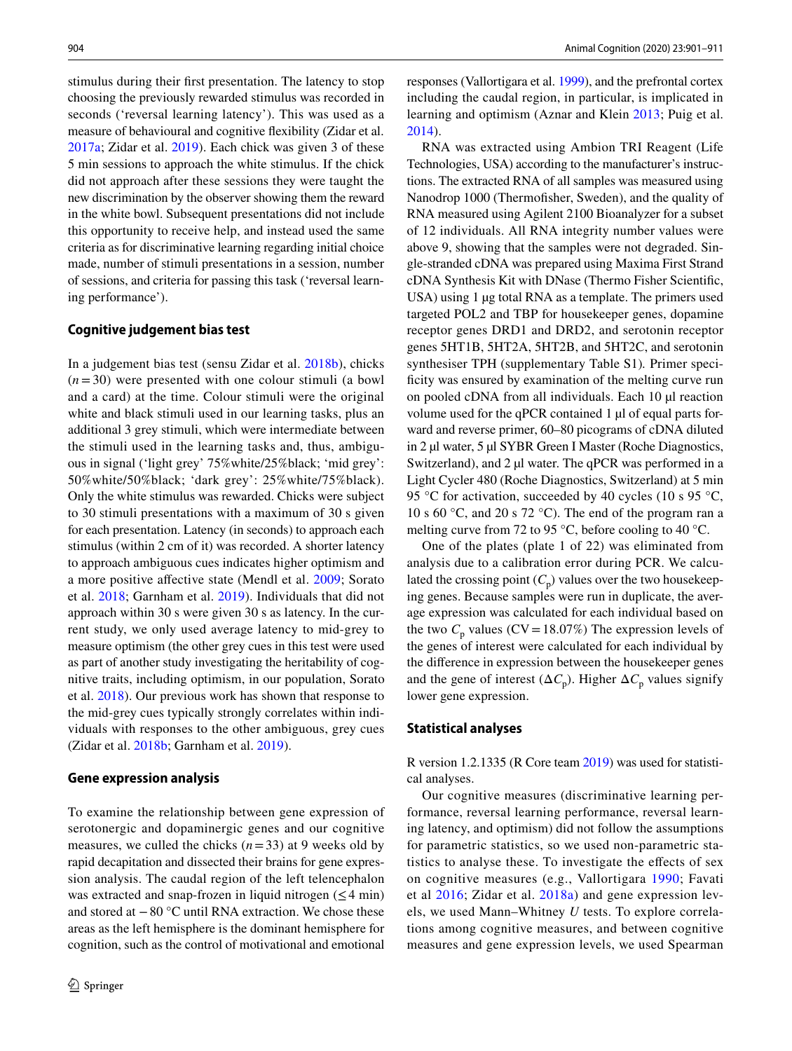stimulus during their frst presentation. The latency to stop choosing the previously rewarded stimulus was recorded in seconds ('reversal learning latency'). This was used as a measure of behavioural and cognitive fexibility (Zidar et al. [2017a;](#page-10-15) Zidar et al. [2019](#page-10-16)). Each chick was given 3 of these 5 min sessions to approach the white stimulus. If the chick did not approach after these sessions they were taught the new discrimination by the observer showing them the reward in the white bowl. Subsequent presentations did not include this opportunity to receive help, and instead used the same criteria as for discriminative learning regarding initial choice made, number of stimuli presentations in a session, number of sessions, and criteria for passing this task ('reversal learning performance').

### **Cognitive judgement bias test**

In a judgement bias test (sensu Zidar et al. [2018b\)](#page-10-3), chicks  $(n=30)$  were presented with one colour stimuli (a bowl and a card) at the time. Colour stimuli were the original white and black stimuli used in our learning tasks, plus an additional 3 grey stimuli, which were intermediate between the stimuli used in the learning tasks and, thus, ambiguous in signal ('light grey' 75%white/25%black; 'mid grey': 50%white/50%black; 'dark grey': 25%white/75%black). Only the white stimulus was rewarded. Chicks were subject to 30 stimuli presentations with a maximum of 30 s given for each presentation. Latency (in seconds) to approach each stimulus (within 2 cm of it) was recorded. A shorter latency to approach ambiguous cues indicates higher optimism and a more positive afective state (Mendl et al. [2009](#page-9-6); Sorato et al. [2018](#page-10-12); Garnham et al. [2019](#page-8-23)). Individuals that did not approach within 30 s were given 30 s as latency. In the current study, we only used average latency to mid-grey to measure optimism (the other grey cues in this test were used as part of another study investigating the heritability of cognitive traits, including optimism, in our population, Sorato et al. [2018\)](#page-10-12). Our previous work has shown that response to the mid-grey cues typically strongly correlates within individuals with responses to the other ambiguous, grey cues (Zidar et al. [2018b;](#page-10-3) Garnham et al. [2019\)](#page-8-23).

#### **Gene expression analysis**

To examine the relationship between gene expression of serotonergic and dopaminergic genes and our cognitive measures, we culled the chicks  $(n=33)$  at 9 weeks old by rapid decapitation and dissected their brains for gene expression analysis. The caudal region of the left telencephalon was extracted and snap-frozen in liquid nitrogen  $(\leq 4 \text{ min})$ and stored at −80 °C until RNA extraction. We chose these areas as the left hemisphere is the dominant hemisphere for cognition, such as the control of motivational and emotional responses (Vallortigara et al. [1999\)](#page-10-17), and the prefrontal cortex including the caudal region, in particular, is implicated in learning and optimism (Aznar and Klein [2013;](#page-8-22) Puig et al. [2014](#page-9-10)).

RNA was extracted using Ambion TRI Reagent (Life Technologies, USA) according to the manufacturer's instructions. The extracted RNA of all samples was measured using Nanodrop 1000 (Thermofsher, Sweden), and the quality of RNA measured using Agilent 2100 Bioanalyzer for a subset of 12 individuals. All RNA integrity number values were above 9, showing that the samples were not degraded. Single-stranded cDNA was prepared using Maxima First Strand cDNA Synthesis Kit with DNase (Thermo Fisher Scientifc, USA) using 1 µg total RNA as a template. The primers used targeted POL2 and TBP for housekeeper genes, dopamine receptor genes DRD1 and DRD2, and serotonin receptor genes 5HT1B, 5HT2A, 5HT2B, and 5HT2C, and serotonin synthesiser TPH (supplementary Table S1)*.* Primer specificity was ensured by examination of the melting curve run on pooled cDNA from all individuals. Each 10 µl reaction volume used for the qPCR contained 1 µl of equal parts forward and reverse primer, 60–80 picograms of cDNA diluted in 2 µl water, 5 µl SYBR Green I Master (Roche Diagnostics, Switzerland), and 2 µl water. The qPCR was performed in a Light Cycler 480 (Roche Diagnostics, Switzerland) at 5 min 95 °C for activation, succeeded by 40 cycles (10 s 95 °C, 10 s 60 °C, and 20 s 72 °C). The end of the program ran a melting curve from 72 to 95 °C, before cooling to 40 °C.

One of the plates (plate 1 of 22) was eliminated from analysis due to a calibration error during PCR. We calculated the crossing point  $(C_p)$  values over the two housekeeping genes. Because samples were run in duplicate, the average expression was calculated for each individual based on the two  $C_p$  values (CV=18.07%) The expression levels of the genes of interest were calculated for each individual by the diference in expression between the housekeeper genes and the gene of interest  $(\Delta C_p)$ . Higher  $\Delta C_p$  values signify lower gene expression.

### **Statistical analyses**

R version 1.2.1335 (R Core team [2019](#page-9-28)) was used for statistical analyses.

Our cognitive measures (discriminative learning performance, reversal learning performance, reversal learning latency, and optimism) did not follow the assumptions for parametric statistics, so we used non-parametric statistics to analyse these. To investigate the efects of sex on cognitive measures (e.g., Vallortigara [1990](#page-10-18); Favati et al [2016;](#page-8-25) Zidar et al. [2018a\)](#page-10-13) and gene expression levels, we used Mann–Whitney *U* tests. To explore correlations among cognitive measures, and between cognitive measures and gene expression levels, we used Spearman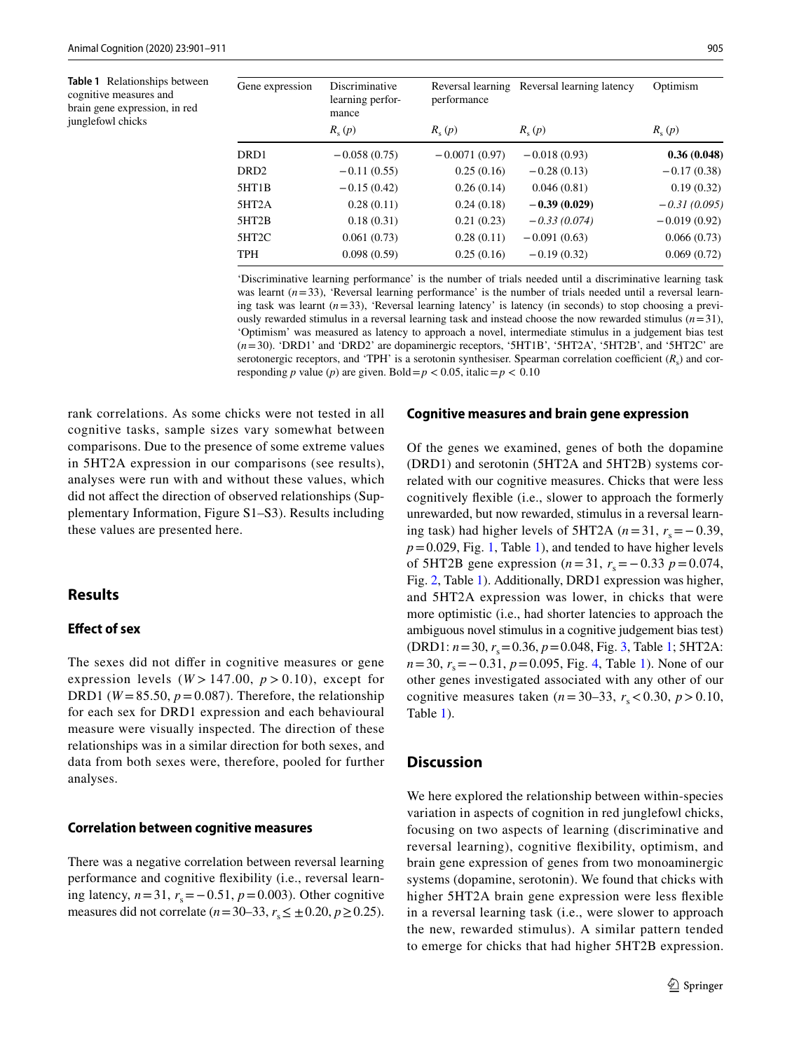<span id="page-4-0"></span>**Table 1** Relationships between cognitive measures and brain gene expression, in red junglefowl chicks

| Gene expression  | Discriminative<br>learning perfor-<br>mance | performance     | Reversal learning Reversal learning latency | Optimism       |
|------------------|---------------------------------------------|-----------------|---------------------------------------------|----------------|
|                  | $R_{s}(p)$                                  | $R_{s}(p)$      | $R_{s}(p)$                                  | $R_{s}(p)$     |
| DRD <sub>1</sub> | $-0.058(0.75)$                              | $-0.0071(0.97)$ | $-0.018(0.93)$                              | 0.36(0.048)    |
| DRD <sub>2</sub> | $-0.11(0.55)$                               | 0.25(0.16)      | $-0.28(0.13)$                               | $-0.17(0.38)$  |
| 5HT1B            | $-0.15(0.42)$                               | 0.26(0.14)      | 0.046(0.81)                                 | 0.19(0.32)     |
| 5HT2A            | 0.28(0.11)                                  | 0.24(0.18)      | $-0.39(0.029)$                              | $-0.31(0.095)$ |
| 5HT2B            | 0.18(0.31)                                  | 0.21(0.23)      | $-0.33(0.074)$                              | $-0.019(0.92)$ |
| 5HT2C            | 0.061(0.73)                                 | 0.28(0.11)      | $-0.091(0.63)$                              | 0.066(0.73)    |
| <b>TPH</b>       | 0.098(0.59)                                 | 0.25(0.16)      | $-0.19(0.32)$                               | 0.069(0.72)    |

'Discriminative learning performance' is the number of trials needed until a discriminative learning task was learnt  $(n=33)$ , 'Reversal learning performance' is the number of trials needed until a reversal learning task was learnt  $(n=33)$ , 'Reversal learning latency' is latency (in seconds) to stop choosing a previously rewarded stimulus in a reversal learning task and instead choose the now rewarded stimulus  $(n=31)$ , 'Optimism' was measured as latency to approach a novel, intermediate stimulus in a judgement bias test (*n*=30). 'DRD1' and 'DRD2' are dopaminergic receptors, '5HT1B', '5HT2A', '5HT2B', and '5HT2C' are serotonergic receptors, and 'TPH' is a serotonin synthesiser. Spearman correlation coefficient  $(R_s)$  and corresponding *p* value (*p*) are given. Bold =  $p < 0.05$ , italic =  $p < 0.10$ 

rank correlations. As some chicks were not tested in all cognitive tasks, sample sizes vary somewhat between comparisons. Due to the presence of some extreme values in 5HT2A expression in our comparisons (see results), analyses were run with and without these values, which did not afect the direction of observed relationships (Supplementary Information, Figure S1–S3). Results including these values are presented here.

# **Results**

# **Efect of sex**

The sexes did not difer in cognitive measures or gene expression levels  $(W > 147.00, p > 0.10)$ , except for DRD1 ( $W = 85.50$ ,  $p = 0.087$ ). Therefore, the relationship for each sex for DRD1 expression and each behavioural measure were visually inspected. The direction of these relationships was in a similar direction for both sexes, and data from both sexes were, therefore, pooled for further analyses.

### **Correlation between cognitive measures**

There was a negative correlation between reversal learning performance and cognitive fexibility (i.e., reversal learning latency,  $n=31$ ,  $r_s = −0.51$ ,  $p = 0.003$ ). Other cognitive measures did not correlate (*n*=30–33,  $r_s$  ≤ ±0.20, *p* ≥ 0.25).

### **Cognitive measures and brain gene expression**

Of the genes we examined, genes of both the dopamine (DRD1) and serotonin (5HT2A and 5HT2B) systems correlated with our cognitive measures. Chicks that were less cognitively fexible (i.e., slower to approach the formerly unrewarded, but now rewarded, stimulus in a reversal learning task) had higher levels of 5HT2A ( $n=31$ ,  $r_s=-0.39$ ,  $p=0.029$ , Fig. [1,](#page-5-0) Table [1\)](#page-4-0), and tended to have higher levels of 5HT2B gene expression ( $n=31$ ,  $r_s = -0.33$   $p=0.074$ , Fig. [2](#page-5-1), Table [1\)](#page-4-0). Additionally, DRD1 expression was higher, and 5HT2A expression was lower, in chicks that were more optimistic (i.e., had shorter latencies to approach the ambiguous novel stimulus in a cognitive judgement bias test) (DRD1:  $n = 30$ ,  $r_s = 0.36$ ,  $p = 0.048$ , Fig. [3,](#page-6-0) Table [1](#page-4-0); 5HT2A: *n*=30, *r*<sub>s</sub> = −0.3[1](#page-4-0), *p* = 0.095, Fig. [4](#page-6-1), Table 1). None of our other genes investigated associated with any other of our cognitive measures taken ( $n = 30-33$ ,  $r_s < 0.30$ ,  $p > 0.10$ , Table [1](#page-4-0)).

# **Discussion**

We here explored the relationship between within-species variation in aspects of cognition in red junglefowl chicks, focusing on two aspects of learning (discriminative and reversal learning), cognitive fexibility, optimism, and brain gene expression of genes from two monoaminergic systems (dopamine, serotonin). We found that chicks with higher 5HT2A brain gene expression were less fexible in a reversal learning task (i.e., were slower to approach the new, rewarded stimulus). A similar pattern tended to emerge for chicks that had higher 5HT2B expression.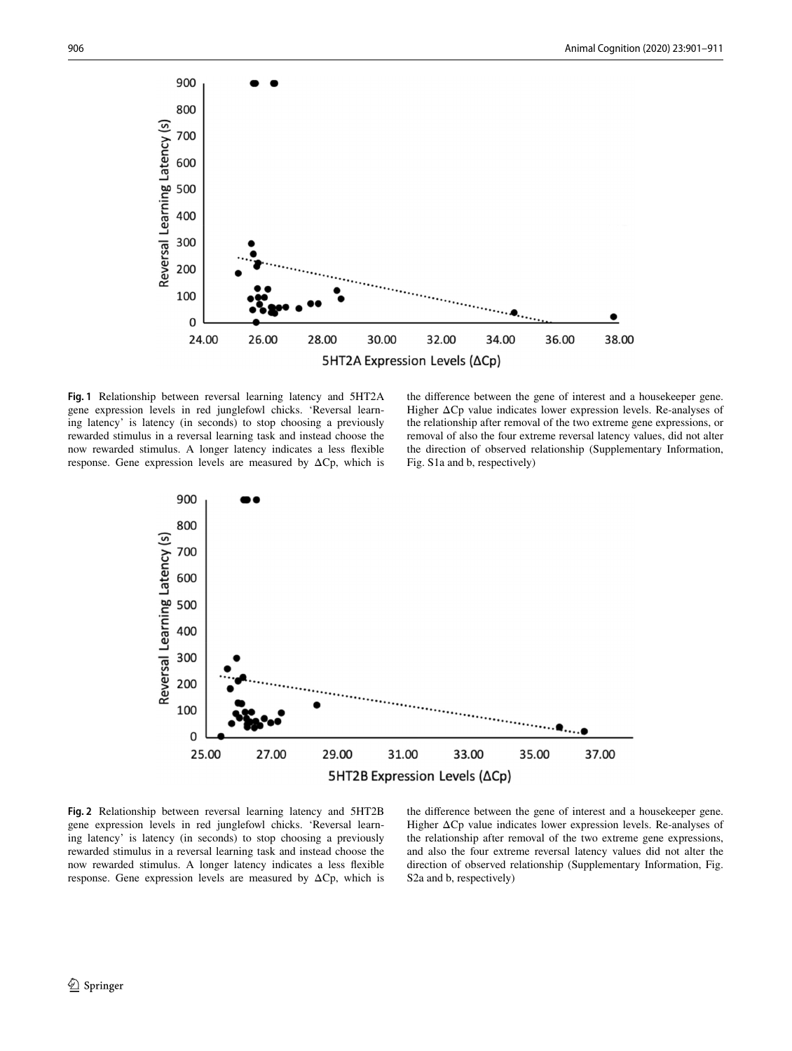

<span id="page-5-0"></span>**Fig. 1** Relationship between reversal learning latency and 5HT2A gene expression levels in red junglefowl chicks. 'Reversal learning latency' is latency (in seconds) to stop choosing a previously rewarded stimulus in a reversal learning task and instead choose the now rewarded stimulus. A longer latency indicates a less fexible response. Gene expression levels are measured by  $\Delta C$ p, which is

the diference between the gene of interest and a housekeeper gene. Higher ΔCp value indicates lower expression levels. Re-analyses of the relationship after removal of the two extreme gene expressions, or removal of also the four extreme reversal latency values, did not alter the direction of observed relationship (Supplementary Information, Fig. S1a and b, respectively)



<span id="page-5-1"></span>**Fig. 2** Relationship between reversal learning latency and 5HT2B gene expression levels in red junglefowl chicks. 'Reversal learning latency' is latency (in seconds) to stop choosing a previously rewarded stimulus in a reversal learning task and instead choose the now rewarded stimulus. A longer latency indicates a less fexible response. Gene expression levels are measured by ΔCp, which is

the diference between the gene of interest and a housekeeper gene. Higher ΔCp value indicates lower expression levels. Re-analyses of the relationship after removal of the two extreme gene expressions, and also the four extreme reversal latency values did not alter the direction of observed relationship (Supplementary Information, Fig. S2a and b, respectively)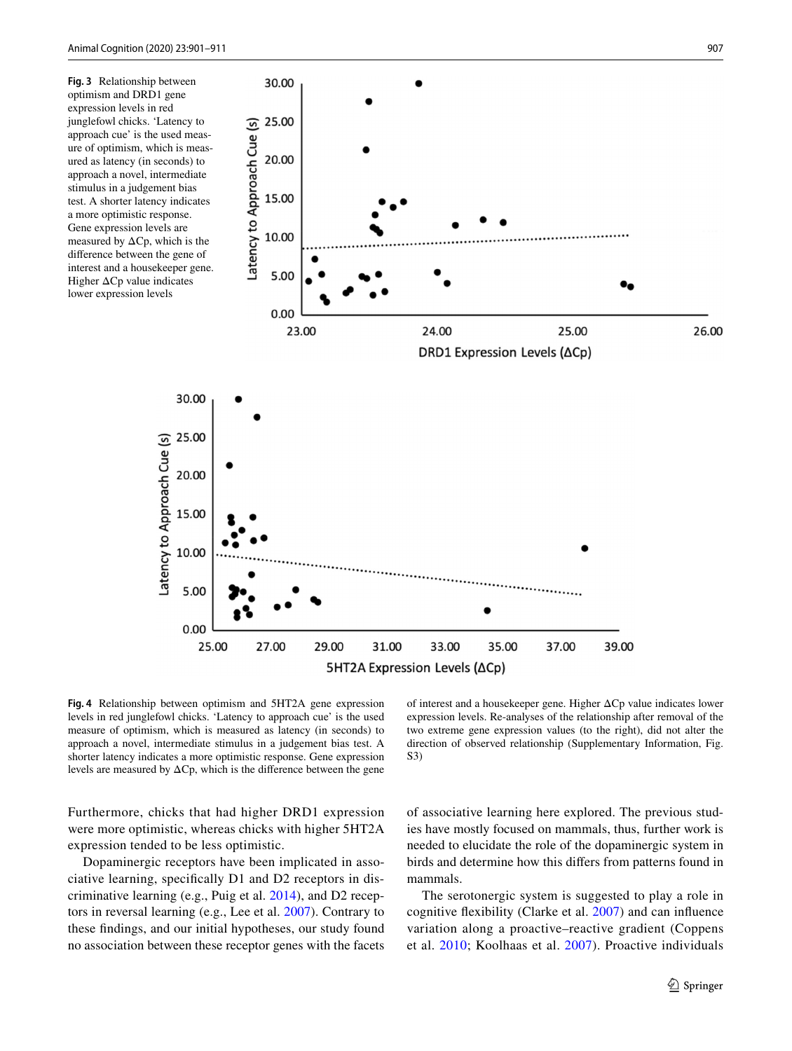30.00

<span id="page-6-0"></span>**Fig. 3** Relationship between optimism and DRD1 gene expression levels in red junglefowl chicks. 'Latency to approach cue' is the used measure of optimism, which is measured as latency (in seconds) to approach a novel, intermediate stimulus in a judgement bias test. A shorter latency indicates a more optimistic response. Gene expression levels are measured by  $\Delta$ Cp, which is the diference between the gene of interest and a housekeeper gene. Higher ΔCp value indicates lower expression levels



<span id="page-6-1"></span>**Fig. 4** Relationship between optimism and 5HT2A gene expression levels in red junglefowl chicks. 'Latency to approach cue' is the used measure of optimism, which is measured as latency (in seconds) to approach a novel, intermediate stimulus in a judgement bias test. A shorter latency indicates a more optimistic response. Gene expression levels are measured by  $\Delta C$ p, which is the difference between the gene

Furthermore, chicks that had higher DRD1 expression were more optimistic, whereas chicks with higher 5HT2A expression tended to be less optimistic.

Dopaminergic receptors have been implicated in associative learning, specifcally D1 and D2 receptors in discriminative learning (e.g., Puig et al. [2014](#page-9-10)), and D2 receptors in reversal learning (e.g., Lee et al. [2007\)](#page-9-13). Contrary to these fndings, and our initial hypotheses, our study found no association between these receptor genes with the facets

of interest and a housekeeper gene. Higher ΔCp value indicates lower expression levels. Re-analyses of the relationship after removal of the two extreme gene expression values (to the right), did not alter the direction of observed relationship (Supplementary Information, Fig. S3)

of associative learning here explored. The previous studies have mostly focused on mammals, thus, further work is needed to elucidate the role of the dopaminergic system in birds and determine how this difers from patterns found in mammals.

The serotonergic system is suggested to play a role in cognitive fexibility (Clarke et al. [2007](#page-8-13)) and can infuence variation along a proactive–reactive gradient (Coppens et al. [2010](#page-8-2); Koolhaas et al. [2007\)](#page-9-29). Proactive individuals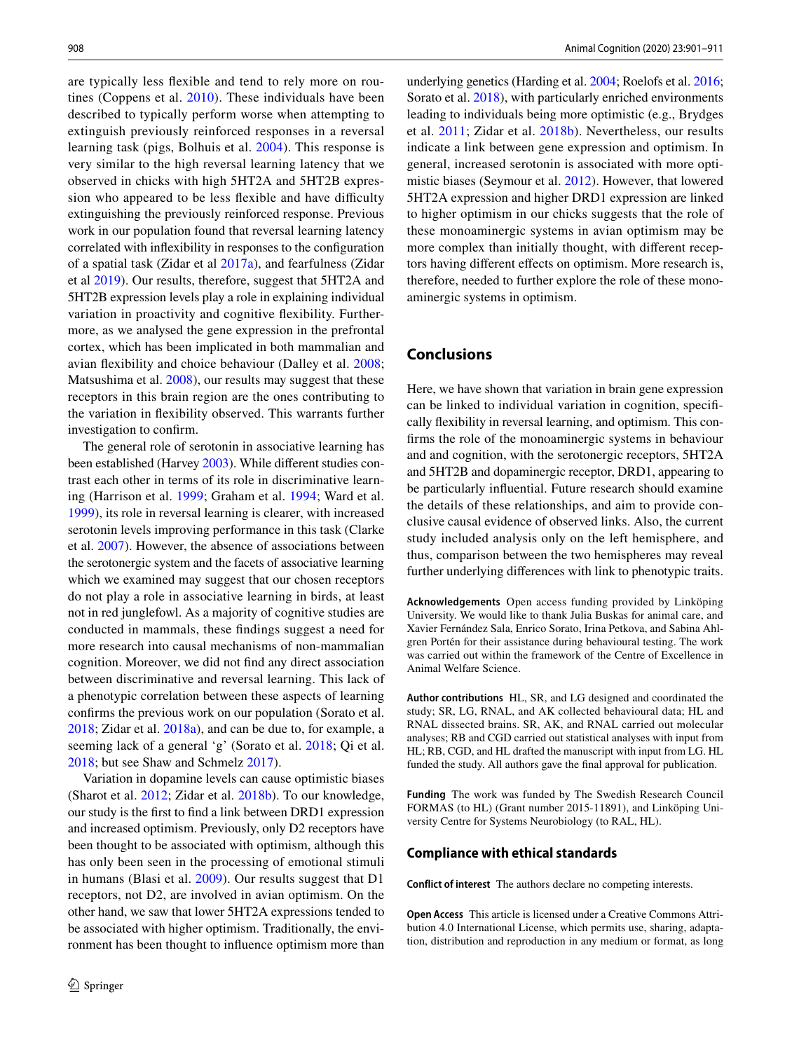are typically less fexible and tend to rely more on routines (Coppens et al. [2010](#page-8-2)). These individuals have been described to typically perform worse when attempting to extinguish previously reinforced responses in a reversal learning task (pigs, Bolhuis et al. [2004](#page-8-26)). This response is very similar to the high reversal learning latency that we observed in chicks with high 5HT2A and 5HT2B expression who appeared to be less flexible and have difficulty extinguishing the previously reinforced response. Previous work in our population found that reversal learning latency correlated with infexibility in responses to the confguration of a spatial task (Zidar et al [2017a\)](#page-10-15), and fearfulness (Zidar et al [2019\)](#page-10-16). Our results, therefore, suggest that 5HT2A and 5HT2B expression levels play a role in explaining individual variation in proactivity and cognitive fexibility. Furthermore, as we analysed the gene expression in the prefrontal cortex, which has been implicated in both mammalian and avian fexibility and choice behaviour (Dalley et al. [2008](#page-8-27); Matsushima et al. [2008](#page-9-30)), our results may suggest that these receptors in this brain region are the ones contributing to the variation in fexibility observed. This warrants further investigation to confrm.

The general role of serotonin in associative learning has been established (Harvey [2003](#page-9-14)). While diferent studies contrast each other in terms of its role in discriminative learning (Harrison et al. [1999](#page-9-18); Graham et al. [1994](#page-9-17); Ward et al. [1999](#page-10-10)), its role in reversal learning is clearer, with increased serotonin levels improving performance in this task (Clarke et al. [2007\)](#page-8-13). However, the absence of associations between the serotonergic system and the facets of associative learning which we examined may suggest that our chosen receptors do not play a role in associative learning in birds, at least not in red junglefowl. As a majority of cognitive studies are conducted in mammals, these fndings suggest a need for more research into causal mechanisms of non-mammalian cognition. Moreover, we did not fnd any direct association between discriminative and reversal learning. This lack of a phenotypic correlation between these aspects of learning confrms the previous work on our population (Sorato et al. [2018](#page-10-12); Zidar et al. [2018a\)](#page-10-13), and can be due to, for example, a seeming lack of a general 'g' (Sorato et al. [2018](#page-10-12); Qi et al. [2018](#page-9-31); but see Shaw and Schmelz [2017\)](#page-9-32).

Variation in dopamine levels can cause optimistic biases (Sharot et al. [2012](#page-9-22); Zidar et al. [2018b](#page-10-3)). To our knowledge, our study is the frst to fnd a link between DRD1 expression and increased optimism. Previously, only D2 receptors have been thought to be associated with optimism, although this has only been seen in the processing of emotional stimuli in humans (Blasi et al. [2009\)](#page-8-20). Our results suggest that D1 receptors, not D2, are involved in avian optimism. On the other hand, we saw that lower 5HT2A expressions tended to be associated with higher optimism. Traditionally, the environment has been thought to infuence optimism more than underlying genetics (Harding et al. [2004](#page-9-7); Roelofs et al. [2016](#page-9-33); Sorato et al. [2018](#page-10-12)), with particularly enriched environments leading to individuals being more optimistic (e.g., Brydges et al. [2011;](#page-8-6) Zidar et al. [2018b\)](#page-10-3). Nevertheless, our results indicate a link between gene expression and optimism. In general, increased serotonin is associated with more optimistic biases (Seymour et al. [2012\)](#page-9-34). However, that lowered 5HT2A expression and higher DRD1 expression are linked to higher optimism in our chicks suggests that the role of these monoaminergic systems in avian optimism may be more complex than initially thought, with diferent receptors having diferent efects on optimism. More research is, therefore, needed to further explore the role of these monoaminergic systems in optimism.

# **Conclusions**

Here, we have shown that variation in brain gene expression can be linked to individual variation in cognition, specifcally fexibility in reversal learning, and optimism. This confrms the role of the monoaminergic systems in behaviour and and cognition, with the serotonergic receptors, 5HT2A and 5HT2B and dopaminergic receptor, DRD1, appearing to be particularly infuential. Future research should examine the details of these relationships, and aim to provide conclusive causal evidence of observed links. Also, the current study included analysis only on the left hemisphere, and thus, comparison between the two hemispheres may reveal further underlying diferences with link to phenotypic traits.

**Acknowledgements** Open access funding provided by Linköping University. We would like to thank Julia Buskas for animal care, and Xavier Fernández Sala, Enrico Sorato, Irina Petkova, and Sabina Ahlgren Portén for their assistance during behavioural testing. The work was carried out within the framework of the Centre of Excellence in Animal Welfare Science.

**Author contributions** HL, SR, and LG designed and coordinated the study; SR, LG, RNAL, and AK collected behavioural data; HL and RNAL dissected brains. SR, AK, and RNAL carried out molecular analyses; RB and CGD carried out statistical analyses with input from HL; RB, CGD, and HL drafted the manuscript with input from LG. HL funded the study. All authors gave the fnal approval for publication.

**Funding** The work was funded by The Swedish Research Council FORMAS (to HL) (Grant number 2015-11891), and Linköping University Centre for Systems Neurobiology (to RAL, HL).

### **Compliance with ethical standards**

**Conflict of interest** The authors declare no competing interests.

**Open Access** This article is licensed under a Creative Commons Attribution 4.0 International License, which permits use, sharing, adaptation, distribution and reproduction in any medium or format, as long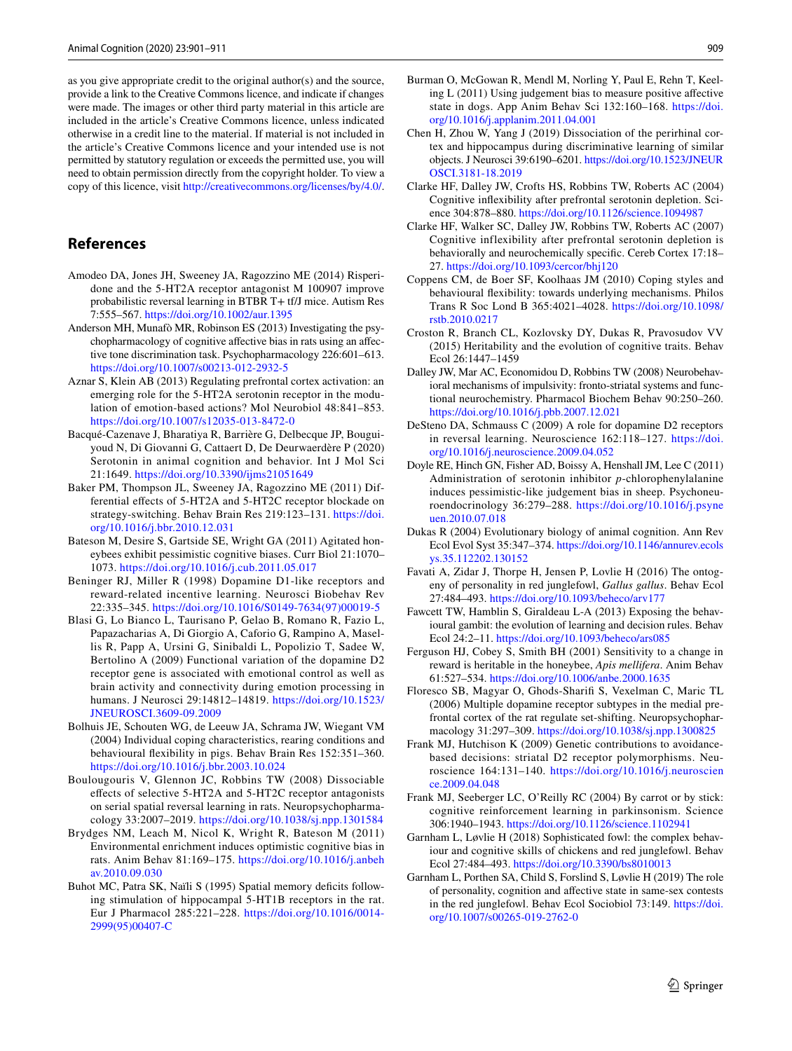as you give appropriate credit to the original author(s) and the source, provide a link to the Creative Commons licence, and indicate if changes were made. The images or other third party material in this article are included in the article's Creative Commons licence, unless indicated otherwise in a credit line to the material. If material is not included in the article's Creative Commons licence and your intended use is not permitted by statutory regulation or exceeds the permitted use, you will need to obtain permission directly from the copyright holder. To view a copy of this licence, visit <http://creativecommons.org/licenses/by/4.0/>.

# **References**

- <span id="page-8-15"></span>Amodeo DA, Jones JH, Sweeney JA, Ragozzino ME (2014) Risperidone and the 5-HT2A receptor antagonist M 100907 improve probabilistic reversal learning in BTBR T+ tf/J mice. Autism Res 7:555–567.<https://doi.org/10.1002/aur.1395>
- <span id="page-8-17"></span>Anderson MH, Munafò MR, Robinson ES (2013) Investigating the psychopharmacology of cognitive afective bias in rats using an afective tone discrimination task. Psychopharmacology 226:601–613. <https://doi.org/10.1007/s00213-012-2932-5>
- <span id="page-8-22"></span>Aznar S, Klein AB (2013) Regulating prefrontal cortex activation: an emerging role for the 5-HT2A serotonin receptor in the modulation of emotion-based actions? Mol Neurobiol 48:841–853. <https://doi.org/10.1007/s12035-013-8472-0>
- <span id="page-8-11"></span>Bacqué-Cazenave J, Bharatiya R, Barrière G, Delbecque JP, Bouguiyoud N, Di Giovanni G, Cattaert D, De Deurwaerdère P (2020) Serotonin in animal cognition and behavior. Int J Mol Sci 21:1649.<https://doi.org/10.3390/ijms21051649>
- <span id="page-8-14"></span>Baker PM, Thompson JL, Sweeney JA, Ragozzino ME (2011) Differential efects of 5-HT2A and 5-HT2C receptor blockade on strategy-switching. Behav Brain Res 219:123–131. [https://doi.](https://doi.org/10.1016/j.bbr.2010.12.031) [org/10.1016/j.bbr.2010.12.031](https://doi.org/10.1016/j.bbr.2010.12.031)
- <span id="page-8-18"></span>Bateson M, Desire S, Gartside SE, Wright GA (2011) Agitated honeybees exhibit pessimistic cognitive biases. Curr Biol 21:1070– 1073.<https://doi.org/10.1016/j.cub.2011.05.017>
- <span id="page-8-8"></span>Beninger RJ, Miller R (1998) Dopamine D1-like receptors and reward-related incentive learning. Neurosci Biobehav Rev 22:335–345. [https://doi.org/10.1016/S0149-7634\(97\)00019-5](https://doi.org/10.1016/S0149-7634(97)00019-5)
- <span id="page-8-20"></span>Blasi G, Lo Bianco L, Taurisano P, Gelao B, Romano R, Fazio L, Papazacharias A, Di Giorgio A, Caforio G, Rampino A, Masellis R, Papp A, Ursini G, Sinibaldi L, Popolizio T, Sadee W, Bertolino A (2009) Functional variation of the dopamine D2 receptor gene is associated with emotional control as well as brain activity and connectivity during emotion processing in humans. J Neurosci 29:14812–14819. [https://doi.org/10.1523/](https://doi.org/10.1523/JNEUROSCI.3609-09.2009) [JNEUROSCI.3609-09.2009](https://doi.org/10.1523/JNEUROSCI.3609-09.2009)
- <span id="page-8-26"></span>Bolhuis JE, Schouten WG, de Leeuw JA, Schrama JW, Wiegant VM (2004) Individual coping characteristics, rearing conditions and behavioural fexibility in pigs. Behav Brain Res 152:351–360. <https://doi.org/10.1016/j.bbr.2003.10.024>
- <span id="page-8-16"></span>Boulougouris V, Glennon JC, Robbins TW (2008) Dissociable efects of selective 5-HT2A and 5-HT2C receptor antagonists on serial spatial reversal learning in rats. Neuropsychopharmacology 33:2007–2019. <https://doi.org/10.1038/sj.npp.1301584>
- <span id="page-8-6"></span>Brydges NM, Leach M, Nicol K, Wright R, Bateson M (2011) Environmental enrichment induces optimistic cognitive bias in rats. Anim Behav 81:169–175. [https://doi.org/10.1016/j.anbeh](https://doi.org/10.1016/j.anbehav.2010.09.030) [av.2010.09.030](https://doi.org/10.1016/j.anbehav.2010.09.030)
- <span id="page-8-24"></span>Buhot MC, Patra SK, Naïli S (1995) Spatial memory deficits following stimulation of hippocampal 5-HT1B receptors in the rat. Eur J Pharmacol 285:221–228. [https://doi.org/10.1016/0014-](https://doi.org/10.1016/0014-2999(95)00407-C) [2999\(95\)00407-C](https://doi.org/10.1016/0014-2999(95)00407-C)
- <span id="page-8-5"></span>Burman O, McGowan R, Mendl M, Norling Y, Paul E, Rehn T, Keeling L (2011) Using judgement bias to measure positive afective state in dogs. App Anim Behav Sci 132:160–168. [https://doi.](https://doi.org/10.1016/j.applanim.2011.04.001) [org/10.1016/j.applanim.2011.04.001](https://doi.org/10.1016/j.applanim.2011.04.001)
- Chen H, Zhou W, Yang J (2019) Dissociation of the perirhinal cortex and hippocampus during discriminative learning of similar objects. J Neurosci 39:6190–6201. [https://doi.org/10.1523/JNEUR](https://doi.org/10.1523/JNEUROSCI.3181-18.2019) [OSCI.3181-18.2019](https://doi.org/10.1523/JNEUROSCI.3181-18.2019)
- <span id="page-8-12"></span>Clarke HF, Dalley JW, Crofts HS, Robbins TW, Roberts AC (2004) Cognitive infexibility after prefrontal serotonin depletion. Science 304:878–880. <https://doi.org/10.1126/science.1094987>
- <span id="page-8-13"></span>Clarke HF, Walker SC, Dalley JW, Robbins TW, Roberts AC (2007) Cognitive inflexibility after prefrontal serotonin depletion is behaviorally and neurochemically specifc. Cereb Cortex 17:18– 27.<https://doi.org/10.1093/cercor/bhj120>
- <span id="page-8-2"></span>Coppens CM, de Boer SF, Koolhaas JM (2010) Coping styles and behavioural fexibility: towards underlying mechanisms. Philos Trans R Soc Lond B 365:4021–4028. [https://doi.org/10.1098/](https://doi.org/10.1098/rstb.2010.0217) [rstb.2010.0217](https://doi.org/10.1098/rstb.2010.0217)
- <span id="page-8-1"></span>Croston R, Branch CL, Kozlovsky DY, Dukas R, Pravosudov VV (2015) Heritability and the evolution of cognitive traits. Behav Ecol 26:1447–1459
- <span id="page-8-27"></span>Dalley JW, Mar AC, Economidou D, Robbins TW (2008) Neurobehavioral mechanisms of impulsivity: fronto-striatal systems and functional neurochemistry. Pharmacol Biochem Behav 90:250–260. <https://doi.org/10.1016/j.pbb.2007.12.021>
- <span id="page-8-10"></span>DeSteno DA, Schmauss C (2009) A role for dopamine D2 receptors in reversal learning. Neuroscience 162:118–127. [https://doi.](https://doi.org/10.1016/j.neuroscience.2009.04.052) [org/10.1016/j.neuroscience.2009.04.052](https://doi.org/10.1016/j.neuroscience.2009.04.052)
- <span id="page-8-21"></span>Doyle RE, Hinch GN, Fisher AD, Boissy A, Henshall JM, Lee C (2011) Administration of serotonin inhibitor *p*-chlorophenylalanine induces pessimistic-like judgement bias in sheep. Psychoneuroendocrinology 36:279–288. [https://doi.org/10.1016/j.psyne](https://doi.org/10.1016/j.psyneuen.2010.07.018) [uen.2010.07.018](https://doi.org/10.1016/j.psyneuen.2010.07.018)
- <span id="page-8-0"></span>Dukas R (2004) Evolutionary biology of animal cognition. Ann Rev Ecol Evol Syst 35:347–374. [https://doi.org/10.1146/annurev.ecols](https://doi.org/10.1146/annurev.ecolsys.35.112202.130152) [ys.35.112202.130152](https://doi.org/10.1146/annurev.ecolsys.35.112202.130152)
- <span id="page-8-25"></span>Favati A, Zidar J, Thorpe H, Jensen P, Lovlie H (2016) The ontogeny of personality in red junglefowl, *Gallus gallus*. Behav Ecol 27:484–493.<https://doi.org/10.1093/beheco/arv177>
- <span id="page-8-4"></span>Fawcett TW, Hamblin S, Giraldeau L-A (2013) Exposing the behavioural gambit: the evolution of learning and decision rules. Behav Ecol 24:2–11.<https://doi.org/10.1093/beheco/ars085>
- <span id="page-8-3"></span>Ferguson HJ, Cobey S, Smith BH (2001) Sensitivity to a change in reward is heritable in the honeybee, *Apis mellifera*. Anim Behav 61:527–534.<https://doi.org/10.1006/anbe.2000.1635>
- <span id="page-8-9"></span>Floresco SB, Magyar O, Ghods-Sharif S, Vexelman C, Maric TL (2006) Multiple dopamine receptor subtypes in the medial prefrontal cortex of the rat regulate set-shifting. Neuropsychopharmacology 31:297–309.<https://doi.org/10.1038/sj.npp.1300825>
- <span id="page-8-19"></span>Frank MJ, Hutchison K (2009) Genetic contributions to avoidancebased decisions: striatal D2 receptor polymorphisms. Neuroscience 164:131–140. [https://doi.org/10.1016/j.neuroscien](https://doi.org/10.1016/j.neuroscience.2009.04.048) [ce.2009.04.048](https://doi.org/10.1016/j.neuroscience.2009.04.048)
- <span id="page-8-7"></span>Frank MJ, Seeberger LC, O'Reilly RC (2004) By carrot or by stick: cognitive reinforcement learning in parkinsonism. Science 306:1940–1943.<https://doi.org/10.1126/science.1102941>
- <span id="page-8-23"></span>Garnham L, Løvlie H (2018) Sophisticated fowl: the complex behaviour and cognitive skills of chickens and red junglefowl. Behav Ecol 27:484–493.<https://doi.org/10.3390/bs8010013>
- Garnham L, Porthen SA, Child S, Forslind S, Løvlie H (2019) The role of personality, cognition and afective state in same-sex contests in the red junglefowl. Behav Ecol Sociobiol 73:149. [https://doi.](https://doi.org/10.1007/s00265-019-2762-0) [org/10.1007/s00265-019-2762-0](https://doi.org/10.1007/s00265-019-2762-0)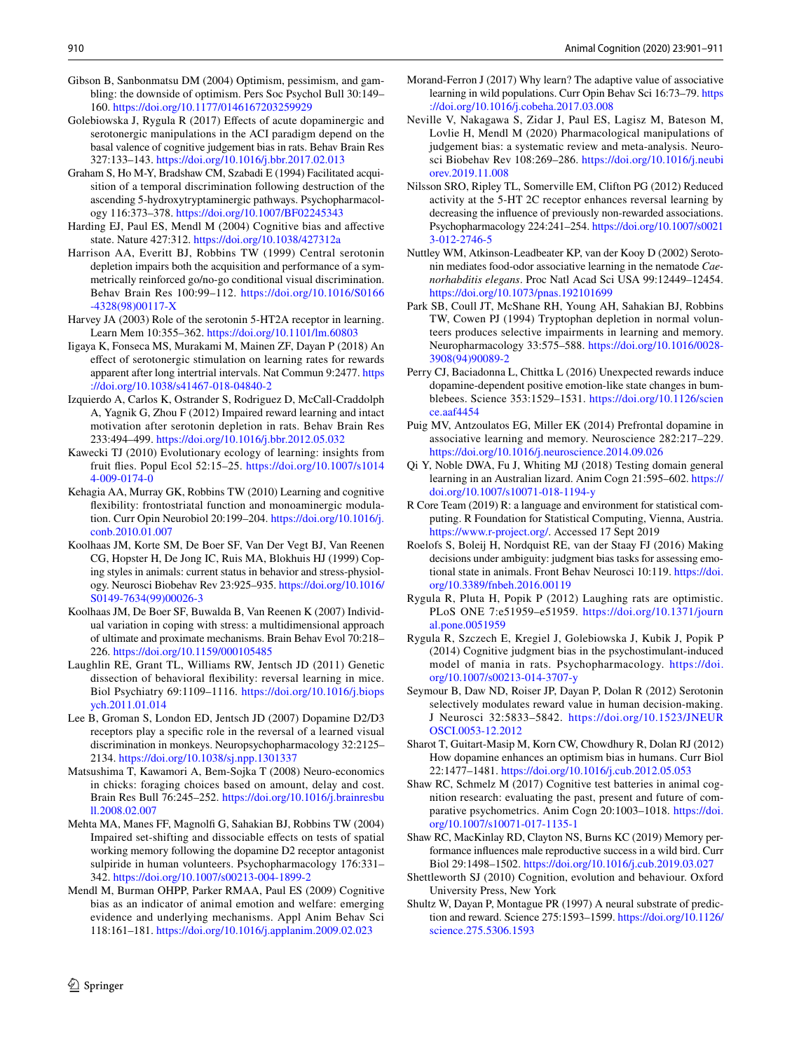- <span id="page-9-25"></span>Gibson B, Sanbonmatsu DM (2004) Optimism, pessimism, and gambling: the downside of optimism. Pers Soc Psychol Bull 30:149– 160.<https://doi.org/10.1177/0146167203259929>
- <span id="page-9-27"></span>Golebiowska J, Rygula R (2017) Efects of acute dopaminergic and serotonergic manipulations in the ACI paradigm depend on the basal valence of cognitive judgement bias in rats. Behav Brain Res 327:133–143. <https://doi.org/10.1016/j.bbr.2017.02.013>
- <span id="page-9-17"></span>Graham S, Ho M-Y, Bradshaw CM, Szabadi E (1994) Facilitated acquisition of a temporal discrimination following destruction of the ascending 5-hydroxytryptaminergic pathways. Psychopharmacology 116:373–378. <https://doi.org/10.1007/BF02245343>
- <span id="page-9-7"></span>Harding EJ, Paul ES, Mendl M (2004) Cognitive bias and afective state. Nature 427:312. <https://doi.org/10.1038/427312a>
- <span id="page-9-18"></span>Harrison AA, Everitt BJ, Robbins TW (1999) Central serotonin depletion impairs both the acquisition and performance of a symmetrically reinforced go/no-go conditional visual discrimination. Behav Brain Res 100:99–112. [https://doi.org/10.1016/S0166](https://doi.org/10.1016/S0166-4328(98)00117-X) [-4328\(98\)00117-X](https://doi.org/10.1016/S0166-4328(98)00117-X)
- <span id="page-9-14"></span>Harvey JA (2003) Role of the serotonin 5-HT2A receptor in learning. Learn Mem 10:355–362. <https://doi.org/10.1101/lm.60803>
- <span id="page-9-19"></span>Iigaya K, Fonseca MS, Murakami M, Mainen ZF, Dayan P (2018) An efect of serotonergic stimulation on learning rates for rewards apparent after long intertrial intervals. Nat Commun 9:2477. [https](https://doi.org/10.1038/s41467-018-04840-2) [://doi.org/10.1038/s41467-018-04840-2](https://doi.org/10.1038/s41467-018-04840-2)
- <span id="page-9-15"></span>Izquierdo A, Carlos K, Ostrander S, Rodriguez D, McCall-Craddolph A, Yagnik G, Zhou F (2012) Impaired reward learning and intact motivation after serotonin depletion in rats. Behav Brain Res 233:494–499. <https://doi.org/10.1016/j.bbr.2012.05.032>
- <span id="page-9-4"></span>Kawecki TJ (2010) Evolutionary ecology of learning: insights from fruit fies. Popul Ecol 52:15–25. [https://doi.org/10.1007/s1014](https://doi.org/10.1007/s10144-009-0174-0) [4-009-0174-0](https://doi.org/10.1007/s10144-009-0174-0)
- <span id="page-9-11"></span>Kehagia AA, Murray GK, Robbins TW (2010) Learning and cognitive fexibility: frontostriatal function and monoaminergic modulation. Curr Opin Neurobiol 20:199–204. [https://doi.org/10.1016/j.](https://doi.org/10.1016/j.conb.2010.01.007) [conb.2010.01.007](https://doi.org/10.1016/j.conb.2010.01.007)
- <span id="page-9-3"></span>Koolhaas JM, Korte SM, De Boer SF, Van Der Vegt BJ, Van Reenen CG, Hopster H, De Jong IC, Ruis MA, Blokhuis HJ (1999) Coping styles in animals: current status in behavior and stress-physiology. Neurosci Biobehav Rev 23:925–935. [https://doi.org/10.1016/](https://doi.org/10.1016/S0149-7634(99)00026-3) [S0149-7634\(99\)00026-3](https://doi.org/10.1016/S0149-7634(99)00026-3)
- <span id="page-9-29"></span>Koolhaas JM, De Boer SF, Buwalda B, Van Reenen K (2007) Individual variation in coping with stress: a multidimensional approach of ultimate and proximate mechanisms. Brain Behav Evol 70:218– 226.<https://doi.org/10.1159/000105485>
- <span id="page-9-5"></span>Laughlin RE, Grant TL, Williams RW, Jentsch JD (2011) Genetic dissection of behavioral fexibility: reversal learning in mice. Biol Psychiatry 69:1109–1116. [https://doi.org/10.1016/j.biops](https://doi.org/10.1016/j.biopsych.2011.01.014) [ych.2011.01.014](https://doi.org/10.1016/j.biopsych.2011.01.014)
- <span id="page-9-13"></span>Lee B, Groman S, London ED, Jentsch JD (2007) Dopamine D2/D3 receptors play a specifc role in the reversal of a learned visual discrimination in monkeys. Neuropsychopharmacology 32:2125– 2134.<https://doi.org/10.1038/sj.npp.1301337>
- <span id="page-9-30"></span>Matsushima T, Kawamori A, Bem-Sojka T (2008) Neuro-economics in chicks: foraging choices based on amount, delay and cost. Brain Res Bull 76:245–252. [https://doi.org/10.1016/j.brainresbu](https://doi.org/10.1016/j.brainresbull.2008.02.007) [ll.2008.02.007](https://doi.org/10.1016/j.brainresbull.2008.02.007)
- <span id="page-9-12"></span>Mehta MA, Manes FF, Magnolf G, Sahakian BJ, Robbins TW (2004) Impaired set-shifting and dissociable efects on tests of spatial working memory following the dopamine D2 receptor antagonist sulpiride in human volunteers. Psychopharmacology 176:331– 342.<https://doi.org/10.1007/s00213-004-1899-2>
- <span id="page-9-6"></span>Mendl M, Burman OHPP, Parker RMAA, Paul ES (2009) Cognitive bias as an indicator of animal emotion and welfare: emerging evidence and underlying mechanisms. Appl Anim Behav Sci 118:161–181. <https://doi.org/10.1016/j.applanim.2009.02.023>
- <span id="page-9-2"></span>Morand-Ferron J (2017) Why learn? The adaptive value of associative learning in wild populations. Curr Opin Behav Sci 16:73–79. [https](https://doi.org/10.1016/j.cobeha.2017.03.008) [://doi.org/10.1016/j.cobeha.2017.03.008](https://doi.org/10.1016/j.cobeha.2017.03.008)
- <span id="page-9-23"></span>Neville V, Nakagawa S, Zidar J, Paul ES, Lagisz M, Bateson M, Lovlie H, Mendl M (2020) Pharmacological manipulations of judgement bias: a systematic review and meta-analysis. Neurosci Biobehav Rev 108:269–286. [https://doi.org/10.1016/j.neubi](https://doi.org/10.1016/j.neubiorev.2019.11.008) [orev.2019.11.008](https://doi.org/10.1016/j.neubiorev.2019.11.008)
- <span id="page-9-21"></span>Nilsson SRO, Ripley TL, Somerville EM, Clifton PG (2012) Reduced activity at the 5-HT 2C receptor enhances reversal learning by decreasing the infuence of previously non-rewarded associations. Psychopharmacology 224:241–254. [https://doi.org/10.1007/s0021](https://doi.org/10.1007/s00213-012-2746-5) [3-012-2746-5](https://doi.org/10.1007/s00213-012-2746-5)
- <span id="page-9-16"></span>Nuttley WM, Atkinson-Leadbeater KP, van der Kooy D (2002) Serotonin mediates food-odor associative learning in the nematode *Caenorhabditis elegans*. Proc Natl Acad Sci USA 99:12449–12454. <https://doi.org/10.1073/pnas.192101699>
- <span id="page-9-20"></span>Park SB, Coull JT, McShane RH, Young AH, Sahakian BJ, Robbins TW, Cowen PJ (1994) Tryptophan depletion in normal volunteers produces selective impairments in learning and memory. Neuropharmacology 33:575–588. [https://doi.org/10.1016/0028-](https://doi.org/10.1016/0028-3908(94)90089-2) [3908\(94\)90089-2](https://doi.org/10.1016/0028-3908(94)90089-2)
- <span id="page-9-24"></span>Perry CJ, Baciadonna L, Chittka L (2016) Unexpected rewards induce dopamine-dependent positive emotion-like state changes in bumblebees. Science 353:1529–1531. [https://doi.org/10.1126/scien](https://doi.org/10.1126/science.aaf4454) [ce.aaf4454](https://doi.org/10.1126/science.aaf4454)
- <span id="page-9-10"></span>Puig MV, Antzoulatos EG, Miller EK (2014) Prefrontal dopamine in associative learning and memory. Neuroscience 282:217–229. <https://doi.org/10.1016/j.neuroscience.2014.09.026>
- <span id="page-9-31"></span>Qi Y, Noble DWA, Fu J, Whiting MJ (2018) Testing domain general learning in an Australian lizard. Anim Cogn 21:595–602. [https://](https://doi.org/10.1007/s10071-018-1194-y) [doi.org/10.1007/s10071-018-1194-y](https://doi.org/10.1007/s10071-018-1194-y)
- <span id="page-9-28"></span>R Core Team (2019) R: a language and environment for statistical computing. R Foundation for Statistical Computing, Vienna, Austria. <https://www.r-project.org/>. Accessed 17 Sept 2019
- <span id="page-9-33"></span>Roelofs S, Boleij H, Nordquist RE, van der Staay FJ (2016) Making decisions under ambiguity: judgment bias tasks for assessing emotional state in animals. Front Behav Neurosci 10:119. [https://doi.](https://doi.org/10.3389/fnbeh.2016.00119) [org/10.3389/fnbeh.2016.00119](https://doi.org/10.3389/fnbeh.2016.00119)
- <span id="page-9-8"></span>Rygula R, Pluta H, Popik P (2012) Laughing rats are optimistic. PLoS ONE 7:e51959–e51959. [https://doi.org/10.1371/journ](https://doi.org/10.1371/journal.pone.0051959) [al.pone.0051959](https://doi.org/10.1371/journal.pone.0051959)
- <span id="page-9-26"></span>Rygula R, Szczech E, Kregiel J, Golebiowska J, Kubik J, Popik P (2014) Cognitive judgment bias in the psychostimulant-induced model of mania in rats. Psychopharmacology. [https://doi.](https://doi.org/10.1007/s00213-014-3707-y) [org/10.1007/s00213-014-3707-y](https://doi.org/10.1007/s00213-014-3707-y)
- <span id="page-9-34"></span>Seymour B, Daw ND, Roiser JP, Dayan P, Dolan R (2012) Serotonin selectively modulates reward value in human decision-making. J Neurosci 32:5833–5842. [https://doi.org/10.1523/JNEUR](https://doi.org/10.1523/JNEUROSCI.0053-12.2012) [OSCI.0053-12.2012](https://doi.org/10.1523/JNEUROSCI.0053-12.2012)
- <span id="page-9-22"></span>Sharot T, Guitart-Masip M, Korn CW, Chowdhury R, Dolan RJ (2012) How dopamine enhances an optimism bias in humans. Curr Biol 22:1477–1481.<https://doi.org/10.1016/j.cub.2012.05.053>
- <span id="page-9-32"></span>Shaw RC, Schmelz M (2017) Cognitive test batteries in animal cognition research: evaluating the past, present and future of comparative psychometrics. Anim Cogn 20:1003–1018. [https://doi.](https://doi.org/10.1007/s10071-017-1135-1) [org/10.1007/s10071-017-1135-1](https://doi.org/10.1007/s10071-017-1135-1)
- <span id="page-9-1"></span>Shaw RC, MacKinlay RD, Clayton NS, Burns KC (2019) Memory performance infuences male reproductive success in a wild bird. Curr Biol 29:1498–1502. <https://doi.org/10.1016/j.cub.2019.03.027>
- <span id="page-9-0"></span>Shettleworth SJ (2010) Cognition, evolution and behaviour. Oxford University Press, New York
- <span id="page-9-9"></span>Shultz W, Dayan P, Montague PR (1997) A neural substrate of prediction and reward. Science 275:1593–1599. [https://doi.org/10.1126/](https://doi.org/10.1126/science.275.5306.1593) [science.275.5306.1593](https://doi.org/10.1126/science.275.5306.1593)